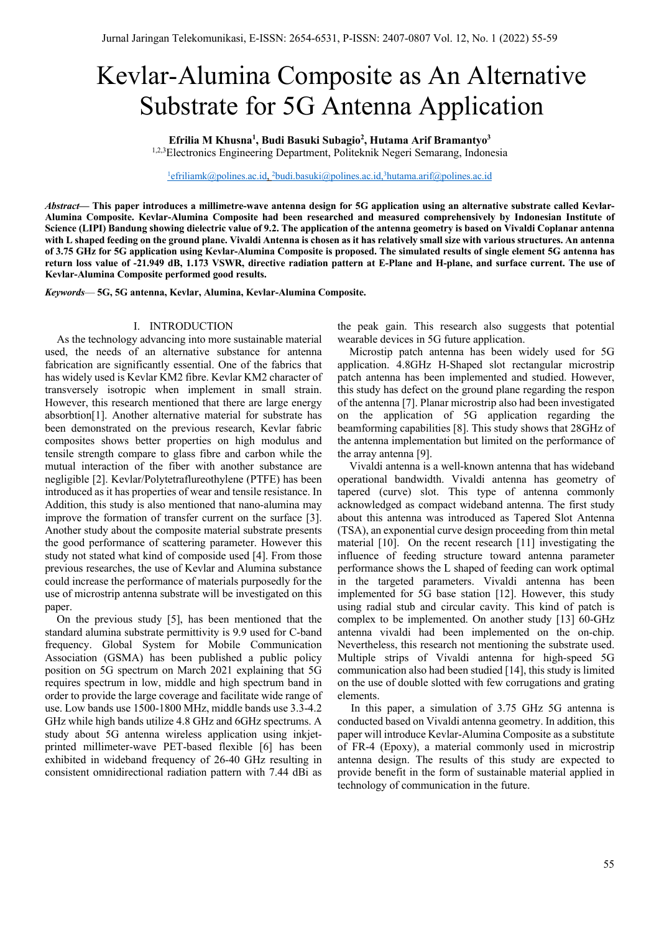# Kevlar-Alumina Composite as An Alternative Substrate for 5G Antenna Application

**Efrilia M Khusna1 , Budi Basuki Subagio2 , Hutama Arif Bramantyo3**

1,2,3Electronics Engineering Department, Politeknik Negeri Semarang, Indonesia

<sup>1</sup>efriliamk@polines.ac.id, <sup>2</sup>budi.basuki@polines.ac.id,<sup>3</sup>hutama.arif@polines.ac.id

*Abstract***— This paper introduces a millimetre-wave antenna design for 5G application using an alternative substrate called Kevlar-Alumina Composite. Kevlar-Alumina Composite had been researched and measured comprehensively by Indonesian Institute of Science (LIPI) Bandung showing dielectric value of 9.2. The application of the antenna geometry is based on Vivaldi Coplanar antenna with L shaped feeding on the ground plane. Vivaldi Antenna is chosen as it has relatively small size with various structures. An antenna of 3.75 GHz for 5G application using Kevlar-Alumina Composite is proposed. The simulated results of single element 5G antenna has return loss value of -21.949 dB, 1.173 VSWR, directive radiation pattern at E-Plane and H-plane, and surface current. The use of Kevlar-Alumina Composite performed good results.**

*Keywords*— **5G, 5G antenna, Kevlar, Alumina, Kevlar-Alumina Composite.**

#### I. INTRODUCTION

As the technology advancing into more sustainable material used, the needs of an alternative substance for antenna fabrication are significantly essential. One of the fabrics that has widely used is Kevlar KM2 fibre. Kevlar KM2 character of transversely isotropic when implement in small strain. However, this research mentioned that there are large energy absorbtion[1]. Another alternative material for substrate has been demonstrated on the previous research, Kevlar fabric composites shows better properties on high modulus and tensile strength compare to glass fibre and carbon while the mutual interaction of the fiber with another substance are negligible [2]. Kevlar/Polytetraflureothylene (PTFE) has been introduced as it has properties of wear and tensile resistance. In Addition, this study is also mentioned that nano-alumina may improve the formation of transfer current on the surface [3]. Another study about the composite material substrate presents the good performance of scattering parameter. However this study not stated what kind of composide used [4]. From those previous researches, the use of Kevlar and Alumina substance could increase the performance of materials purposedly for the use of microstrip antenna substrate will be investigated on this paper.

On the previous study [5], has been mentioned that the standard alumina substrate permittivity is 9.9 used for C-band frequency. Global System for Mobile Communication Association (GSMA) has been published a public policy position on 5G spectrum on March 2021 explaining that 5G requires spectrum in low, middle and high spectrum band in order to provide the large coverage and facilitate wide range of use. Low bands use 1500-1800 MHz, middle bands use 3.3-4.2 GHz while high bands utilize 4.8 GHz and 6GHz spectrums. A study about 5G antenna wireless application using inkjetprinted millimeter-wave PET-based flexible [6] has been exhibited in wideband frequency of 26-40 GHz resulting in consistent omnidirectional radiation pattern with 7.44 dBi as

the peak gain. This research also suggests that potential wearable devices in 5G future application.

Microstip patch antenna has been widely used for 5G application. 4.8GHz H-Shaped slot rectangular microstrip patch antenna has been implemented and studied. However, this study has defect on the ground plane regarding the respon of the antenna [7]. Planar microstrip also had been investigated on the application of 5G application regarding the beamforming capabilities [8]. This study shows that 28GHz of the antenna implementation but limited on the performance of the array antenna [9].

Vivaldi antenna is a well-known antenna that has wideband operational bandwidth. Vivaldi antenna has geometry of tapered (curve) slot. This type of antenna commonly acknowledged as compact wideband antenna. The first study about this antenna was introduced as Tapered Slot Antenna (TSA), an exponential curve design proceeding from thin metal material [10]. On the recent research [11] investigating the influence of feeding structure toward antenna parameter performance shows the L shaped of feeding can work optimal in the targeted parameters. Vivaldi antenna has been implemented for 5G base station [12]. However, this study using radial stub and circular cavity. This kind of patch is complex to be implemented. On another study [13] 60-GHz antenna vivaldi had been implemented on the on-chip. Nevertheless, this research not mentioning the substrate used. Multiple strips of Vivaldi antenna for high-speed 5G communication also had been studied [14], this study is limited on the use of double slotted with few corrugations and grating elements.

In this paper, a simulation of 3.75 GHz 5G antenna is conducted based on Vivaldi antenna geometry. In addition, this paper will introduce Kevlar-Alumina Composite as a substitute of FR-4 (Epoxy), a material commonly used in microstrip antenna design. The results of this study are expected to provide benefit in the form of sustainable material applied in technology of communication in the future.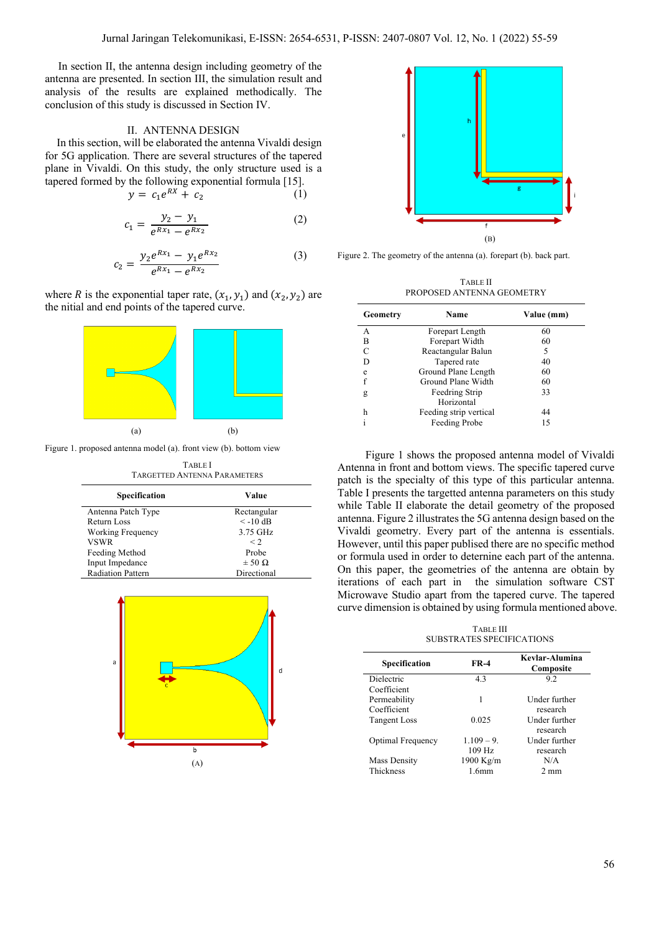In section II, the antenna design including geometry of the antenna are presented. In section III, the simulation result and analysis of the results are explained methodically. The conclusion of this study is discussed in Section IV.

## II. ANTENNA DESIGN

In this section, will be elaborated the antenna Vivaldi design for 5G application. There are several structures of the tapered plane in Vivaldi. On this study, the only structure used is a tapered formed by the following exponential formula [15].

$$
y = c_1 e^{RX} + c_2 \tag{1}
$$

$$
c_1 = \frac{y_2 - y_1}{e^{Rx_1} - e^{Rx_2}}\tag{2}
$$

$$
c_2 = \frac{y_2 e^{Rx_1} - y_1 e^{Rx_2}}{e^{Rx_1} - e^{Rx_2}}
$$
 (3)

where R is the exponential taper rate,  $(x_1, y_1)$  and  $(x_2, y_2)$  are the nitial and end points of the tapered curve.



Figure 1. proposed antenna model (a). front view (b). bottom view

| <b>TABLE I</b><br><b>TARGETTED ANTENNA PARAMETERS</b> |                   |  |
|-------------------------------------------------------|-------------------|--|
| Specification                                         | Value             |  |
| Antenna Patch Type                                    | Rectangular       |  |
| Return Loss                                           | $\leq -10$ dB     |  |
| Working Frequency                                     | 3.75 GHz          |  |
| VSWR                                                  | $\leq$ 2.         |  |
| Feeding Method                                        | Probe             |  |
| Input Impedance                                       | $\pm$ 50 $\Omega$ |  |
| <b>Radiation Pattern</b>                              | Directional       |  |





Figure 2. The geometry of the antenna (a). forepart (b). back part.

TABLE II PROPOSED ANTENNA GEOMETRY

| Geometry | Name                   | Value (mm) |
|----------|------------------------|------------|
| A        | Forepart Length        | 60         |
| в        | Forepart Width         | 60         |
| C        | Reactangular Balun     | 5          |
| D        | Tapered rate           | 40         |
| e        | Ground Plane Length    | 60         |
| f        | Ground Plane Width     | 60         |
| g        | Feedring Strip         | 33         |
|          | Horizontal             |            |
| h        | Feeding strip vertical | 44         |
|          | Feeding Probe          | 15         |

Figure 1 shows the proposed antenna model of Vivaldi Antenna in front and bottom views. The specific tapered curve patch is the specialty of this type of this particular antenna. Table I presents the targetted antenna parameters on this study while Table II elaborate the detail geometry of the proposed antenna. Figure 2 illustrates the 5G antenna design based on the Vivaldi geometry. Every part of the antenna is essentials. However, until this paper publised there are no specific method or formula used in order to deternine each part of the antenna. On this paper, the geometries of the antenna are obtain by iterations of each part in the simulation software CST Microwave Studio apart from the tapered curve. The tapered curve dimension is obtained by using formula mentioned above.

TABLE III SUBSTRATES SPECIFICATIONS

| Specification       | <b>FR-4</b>  | Kevlar-Alumina<br>Composite |
|---------------------|--------------|-----------------------------|
| <b>Dielectric</b>   | 4.3          | 9.2                         |
| Coefficient         |              |                             |
| Permeability        | 1            | Under further               |
| Coefficient         |              | research                    |
| <b>Tangent Loss</b> | 0.025        | Under further               |
|                     |              | research                    |
| Optimal Frequency   | $1.109 - 9.$ | Under further               |
|                     | 109 Hz       | research                    |
| Mass Density        | 1900 Kg/m    | N/A                         |
| Thickness           | 1.6mm        | $2 \text{ mm}$              |
|                     |              |                             |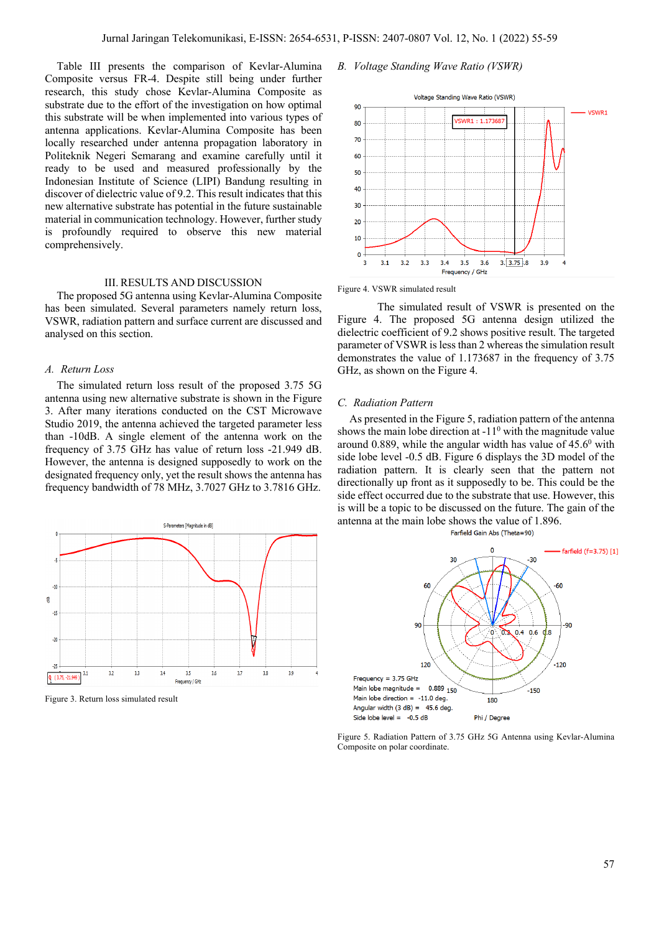Table III presents the comparison of Kevlar-Alumina Composite versus FR-4. Despite still being under further research, this study chose Kevlar-Alumina Composite as substrate due to the effort of the investigation on how optimal this substrate will be when implemented into various types of antenna applications. Kevlar-Alumina Composite has been locally researched under antenna propagation laboratory in Politeknik Negeri Semarang and examine carefully until it ready to be used and measured professionally by the Indonesian Institute of Science (LIPI) Bandung resulting in discover of dielectric value of 9.2. This result indicates that this new alternative substrate has potential in the future sustainable material in communication technology. However, further study is profoundly required to observe this new material comprehensively.

#### III. RESULTS AND DISCUSSION

The proposed 5G antenna using Kevlar-Alumina Composite has been simulated. Several parameters namely return loss, VSWR, radiation pattern and surface current are discussed and analysed on this section.

#### *A. Return Loss*

The simulated return loss result of the proposed 3.75 5G antenna using new alternative substrate is shown in the Figure 3. After many iterations conducted on the CST Microwave Studio 2019, the antenna achieved the targeted parameter less than -10dB. A single element of the antenna work on the frequency of 3.75 GHz has value of return loss -21.949 dB. However, the antenna is designed supposedly to work on the designated frequency only, yet the result shows the antenna has frequency bandwidth of 78 MHz, 3.7027 GHz to 3.7816 GHz.



Figure 3. Return loss simulated result

#### *B. Voltage Standing Wave Ratio (VSWR)*



Figure 4. VSWR simulated result

The simulated result of VSWR is presented on the Figure 4. The proposed 5G antenna design utilized the dielectric coefficient of 9.2 shows positive result. The targeted parameter of VSWR is less than 2 whereas the simulation result demonstrates the value of 1.173687 in the frequency of 3.75 GHz, as shown on the Figure 4.

#### *C. Radiation Pattern*

As presented in the Figure 5, radiation pattern of the antenna shows the main lobe direction at  $-11<sup>0</sup>$  with the magnitude value around 0.889, while the angular width has value of  $45.6^{\circ}$  with side lobe level -0.5 dB. Figure 6 displays the 3D model of the radiation pattern. It is clearly seen that the pattern not directionally up front as it supposedly to be. This could be the side effect occurred due to the substrate that use. However, this is will be a topic to be discussed on the future. The gain of the antenna at the main lobe shows the value of 1.896.





Figure 5. Radiation Pattern of 3.75 GHz 5G Antenna using Kevlar-Alumina Composite on polar coordinate.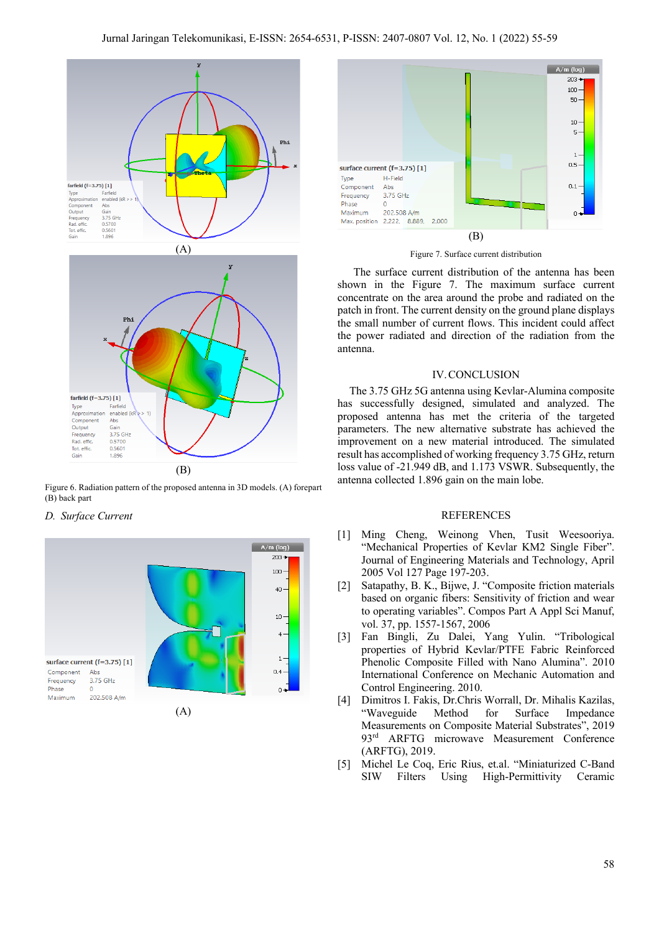

Figure 6. Radiation pattern of the proposed antenna in 3D models. (A) forepart (B) back part

### *D. Surface Current*







The surface current distribution of the antenna has been shown in the Figure 7. The maximum surface current concentrate on the area around the probe and radiated on the patch in front. The current density on the ground plane displays the small number of current flows. This incident could affect the power radiated and direction of the radiation from the antenna.

#### IV.CONCLUSION

The 3.75 GHz 5G antenna using Kevlar-Alumina composite has successfully designed, simulated and analyzed. The proposed antenna has met the criteria of the targeted parameters. The new alternative substrate has achieved the improvement on a new material introduced. The simulated result has accomplished of working frequency 3.75 GHz, return loss value of -21.949 dB, and 1.173 VSWR. Subsequently, the antenna collected 1.896 gain on the main lobe.

#### REFERENCES

- [1] Ming Cheng, Weinong Vhen, Tusit Weesooriya. "Mechanical Properties of Kevlar KM2 Single Fiber". Journal of Engineering Materials and Technology, April 2005 Vol 127 Page 197-203.
- [2] Satapathy, B. K., Bijwe, J. "Composite friction materials based on organic fibers: Sensitivity of friction and wear to operating variables". Compos Part A Appl Sci Manuf, vol. 37, pp. 1557-1567, 2006
- [3] Fan Bingli, Zu Dalei, Yang Yulin. "Tribological properties of Hybrid Kevlar/PTFE Fabric Reinforced Phenolic Composite Filled with Nano Alumina". 2010 International Conference on Mechanic Automation and Control Engineering. 2010.
- [4] Dimitros I. Fakis, Dr.Chris Worrall, Dr. Mihalis Kazilas, "Waveguide Method for Surface Impedance Measurements on Composite Material Substrates", 2019 93rd ARFTG microwave Measurement Conference (ARFTG), 2019.
- [5] Michel Le Coq, Eric Rius, et.al. "Miniaturized C-Band SIW Filters Using High-Permittivity Ceramic